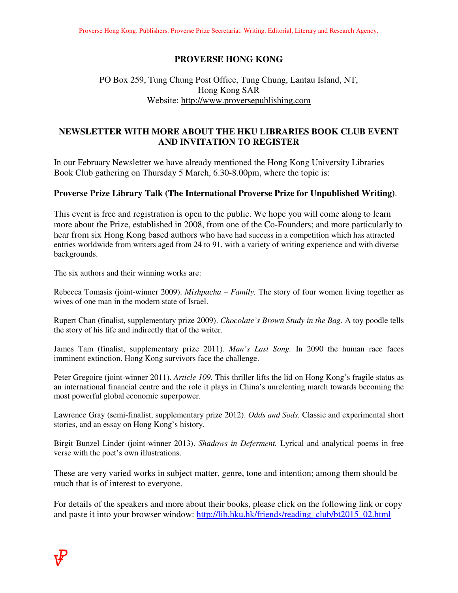#### **PROVERSE HONG KONG**

# PO Box 259, Tung Chung Post Office, Tung Chung, Lantau Island, NT, Hong Kong SAR Website: http://www.proversepublishing.com

# **NEWSLETTER WITH MORE ABOUT THE HKU LIBRARIES BOOK CLUB EVENT AND INVITATION TO REGISTER**

In our February Newsletter we have already mentioned the Hong Kong University Libraries Book Club gathering on Thursday 5 March, 6.30-8.00pm, where the topic is:

#### **Proverse Prize Library Talk (The International Proverse Prize for Unpublished Writing)**.

This event is free and registration is open to the public. We hope you will come along to learn more about the Prize, established in 2008, from one of the Co-Founders; and more particularly to hear from six Hong Kong based authors who have had success in a competition which has attracted entries worldwide from writers aged from 24 to 91, with a variety of writing experience and with diverse backgrounds.

The six authors and their winning works are:

Rebecca Tomasis (joint-winner 2009). *Mishpacha – Family.* The story of four women living together as wives of one man in the modern state of Israel.

Rupert Chan (finalist, supplementary prize 2009). *Chocolate's Brown Study in the Bag.* A toy poodle tells the story of his life and indirectly that of the writer.

James Tam (finalist, supplementary prize 2011). *Man's Last Song.* In 2090 the human race faces imminent extinction. Hong Kong survivors face the challenge.

Peter Gregoire (joint-winner 2011). *Article 109.* This thriller lifts the lid on Hong Kong's fragile status as an international financial centre and the role it plays in China's unrelenting march towards becoming the most powerful global economic superpower.

Lawrence Gray (semi-finalist, supplementary prize 2012). *Odds and Sods.* Classic and experimental short stories, and an essay on Hong Kong's history.

Birgit Bunzel Linder (joint-winner 2013). *Shadows in Deferment.* Lyrical and analytical poems in free verse with the poet's own illustrations.

These are very varied works in subject matter, genre, tone and intention; among them should be much that is of interest to everyone.

For details of the speakers and more about their books, please click on the following link or copy and paste it into your browser window: http://lib.hku.hk/friends/reading\_club/bt2015\_02.html